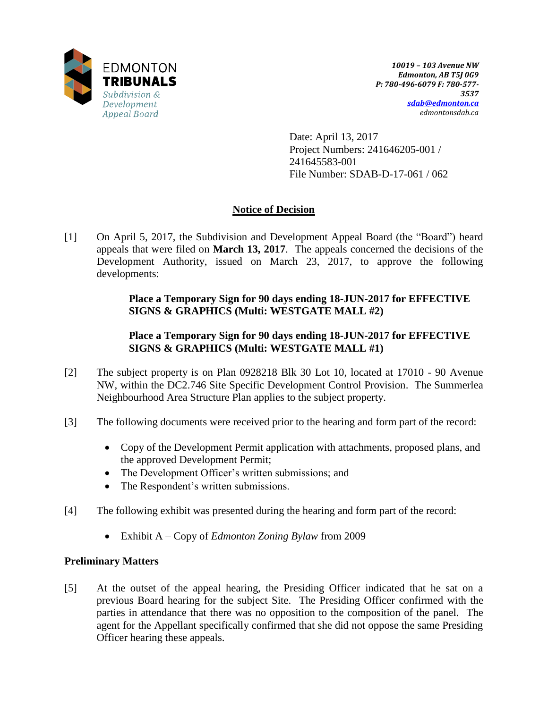

Date: April 13, 2017 Project Numbers: 241646205-001 / 241645583-001 File Number: SDAB-D-17-061 / 062

# **Notice of Decision**

[1] On April 5, 2017, the Subdivision and Development Appeal Board (the "Board") heard appeals that were filed on **March 13, 2017**. The appeals concerned the decisions of the Development Authority, issued on March 23, 2017, to approve the following developments:

> **Place a Temporary Sign for 90 days ending 18-JUN-2017 for EFFECTIVE SIGNS & GRAPHICS (Multi: WESTGATE MALL #2)**

# **Place a Temporary Sign for 90 days ending 18-JUN-2017 for EFFECTIVE SIGNS & GRAPHICS (Multi: WESTGATE MALL #1)**

- [2] The subject property is on Plan 0928218 Blk 30 Lot 10, located at 17010 90 Avenue NW, within the DC2.746 Site Specific Development Control Provision. The Summerlea Neighbourhood Area Structure Plan applies to the subject property.
- [3] The following documents were received prior to the hearing and form part of the record:
	- Copy of the Development Permit application with attachments, proposed plans, and the approved Development Permit;
	- The Development Officer's written submissions; and
	- The Respondent's written submissions.
- [4] The following exhibit was presented during the hearing and form part of the record:
	- Exhibit A Copy of *Edmonton Zoning Bylaw* from 2009

## **Preliminary Matters**

[5] At the outset of the appeal hearing, the Presiding Officer indicated that he sat on a previous Board hearing for the subject Site. The Presiding Officer confirmed with the parties in attendance that there was no opposition to the composition of the panel. The agent for the Appellant specifically confirmed that she did not oppose the same Presiding Officer hearing these appeals.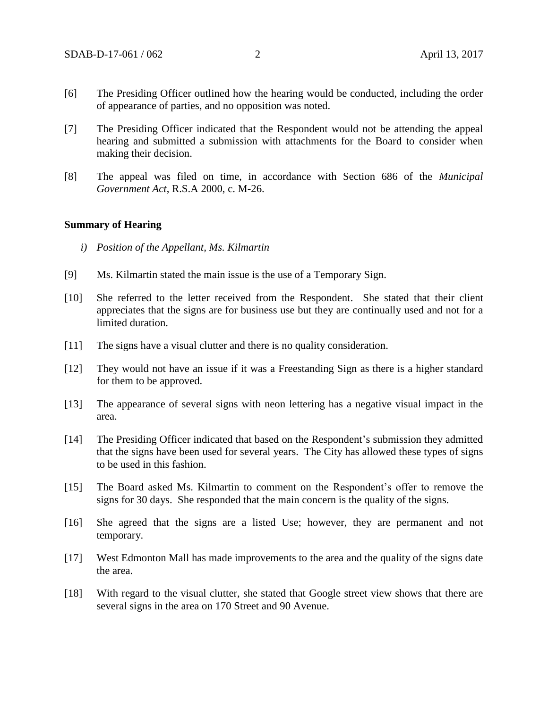- [6] The Presiding Officer outlined how the hearing would be conducted, including the order of appearance of parties, and no opposition was noted.
- [7] The Presiding Officer indicated that the Respondent would not be attending the appeal hearing and submitted a submission with attachments for the Board to consider when making their decision.
- [8] The appeal was filed on time, in accordance with Section 686 of the *Municipal Government Act*, R.S.A 2000, c. M-26.

#### **Summary of Hearing**

- *i) Position of the Appellant, Ms. Kilmartin*
- [9] Ms. Kilmartin stated the main issue is the use of a Temporary Sign.
- [10] She referred to the letter received from the Respondent. She stated that their client appreciates that the signs are for business use but they are continually used and not for a limited duration.
- [11] The signs have a visual clutter and there is no quality consideration.
- [12] They would not have an issue if it was a Freestanding Sign as there is a higher standard for them to be approved.
- [13] The appearance of several signs with neon lettering has a negative visual impact in the area.
- [14] The Presiding Officer indicated that based on the Respondent's submission they admitted that the signs have been used for several years. The City has allowed these types of signs to be used in this fashion.
- [15] The Board asked Ms. Kilmartin to comment on the Respondent's offer to remove the signs for 30 days. She responded that the main concern is the quality of the signs.
- [16] She agreed that the signs are a listed Use; however, they are permanent and not temporary.
- [17] West Edmonton Mall has made improvements to the area and the quality of the signs date the area.
- [18] With regard to the visual clutter, she stated that Google street view shows that there are several signs in the area on 170 Street and 90 Avenue.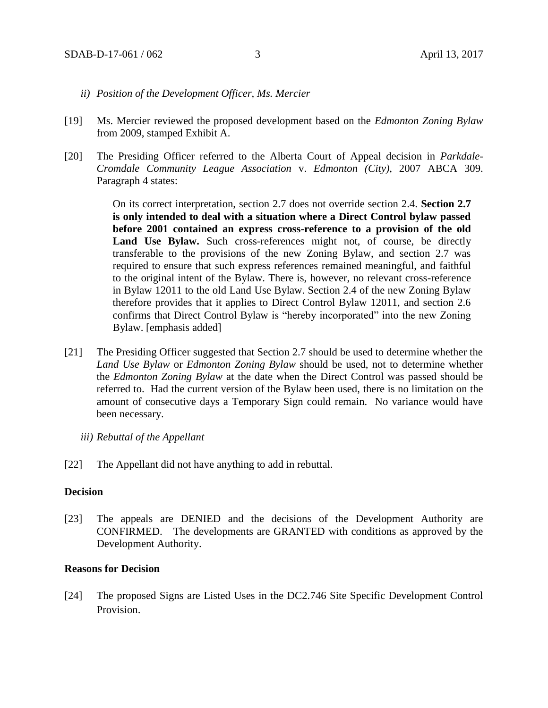- *ii) Position of the Development Officer, Ms. Mercier*
- [19] Ms. Mercier reviewed the proposed development based on the *Edmonton Zoning Bylaw* from 2009, stamped Exhibit A.
- [20] The Presiding Officer referred to the Alberta Court of Appeal decision in *Parkdale-Cromdale Community League Association* v. *Edmonton (City)*, 2007 ABCA 309. Paragraph 4 states:

On its correct interpretation, section 2.7 does not override section 2.4. **Section 2.7 is only intended to deal with a situation where a Direct Control bylaw passed before 2001 contained an express cross-reference to a provision of the old**  Land Use Bylaw. Such cross-references might not, of course, be directly transferable to the provisions of the new Zoning Bylaw, and section 2.7 was required to ensure that such express references remained meaningful, and faithful to the original intent of the Bylaw. There is, however, no relevant cross-reference in Bylaw 12011 to the old Land Use Bylaw. Section 2.4 of the new Zoning Bylaw therefore provides that it applies to Direct Control Bylaw 12011, and section 2.6 confirms that Direct Control Bylaw is "hereby incorporated" into the new Zoning Bylaw. [emphasis added]

- [21] The Presiding Officer suggested that Section 2.7 should be used to determine whether the *Land Use Bylaw* or *Edmonton Zoning Bylaw* should be used, not to determine whether the *Edmonton Zoning Bylaw* at the date when the Direct Control was passed should be referred to. Had the current version of the Bylaw been used, there is no limitation on the amount of consecutive days a Temporary Sign could remain. No variance would have been necessary.
	- *iii) Rebuttal of the Appellant*
- [22] The Appellant did not have anything to add in rebuttal.

## **Decision**

[23] The appeals are DENIED and the decisions of the Development Authority are CONFIRMED. The developments are GRANTED with conditions as approved by the Development Authority.

### **Reasons for Decision**

[24] The proposed Signs are Listed Uses in the DC2.746 Site Specific Development Control Provision.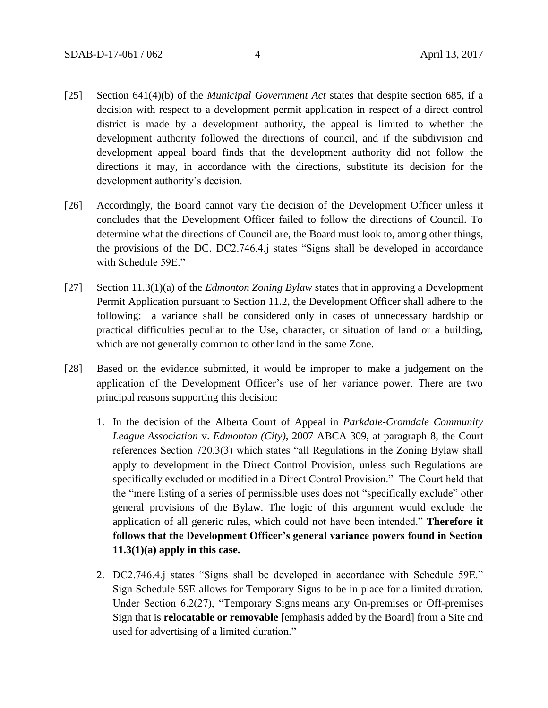- [25] Section 641(4)(b) of the *Municipal Government Act* states that despite section 685, if a decision with respect to a development permit application in respect of a direct control district is made by a development authority, the appeal is limited to whether the development authority followed the directions of council, and if the subdivision and development appeal board finds that the development authority did not follow the directions it may, in accordance with the directions, substitute its decision for the development authority's decision.
- [26] Accordingly, the Board cannot vary the decision of the Development Officer unless it concludes that the Development Officer failed to follow the directions of Council. To determine what the directions of Council are, the Board must look to, among other things, the provisions of the DC. DC2.746.4.j states "Signs shall be developed in accordance with Schedule 59E."
- [27] Section 11.3(1)(a) of the *Edmonton Zoning Bylaw* states that in approving a Development Permit Application pursuant to Section 11.2, the Development Officer shall adhere to the following: a variance shall be considered only in cases of unnecessary hardship or practical difficulties peculiar to the Use, character, or situation of land or a building, which are not generally common to other land in the same Zone.
- [28] Based on the evidence submitted, it would be improper to make a judgement on the application of the Development Officer's use of her variance power. There are two principal reasons supporting this decision:
	- 1. In the decision of the Alberta Court of Appeal in *Parkdale-Cromdale Community League Association* v. *Edmonton (City)*, 2007 ABCA 309, at paragraph 8, the Court references Section 720.3(3) which states "all Regulations in the Zoning Bylaw shall apply to development in the Direct Control Provision, unless such Regulations are specifically excluded or modified in a Direct Control Provision." The Court held that the "mere listing of a series of permissible uses does not "specifically exclude" other general provisions of the Bylaw. The logic of this argument would exclude the application of all generic rules, which could not have been intended." **Therefore it follows that the Development Officer's general variance powers found in Section 11.3(1)(a) apply in this case.**
	- 2. DC2.746.4.j states "Signs shall be developed in accordance with Schedule 59E." Sign Schedule 59E allows for Temporary Signs to be in place for a limited duration. Under Section 6.2(27), "Temporary Signs means any On-premises or Off-premises Sign that is **relocatable or removable** [emphasis added by the Board] from a Site and used for advertising of a limited duration."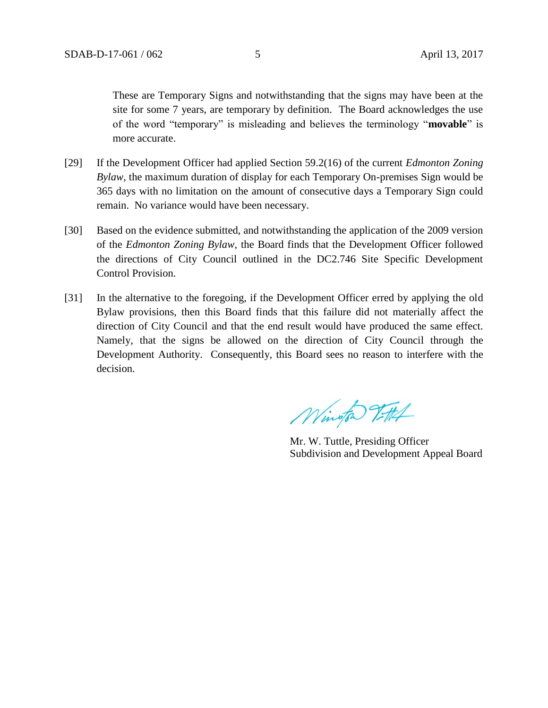These are Temporary Signs and notwithstanding that the signs may have been at the site for some 7 years, are temporary by definition. The Board acknowledges the use of the word "temporary" is misleading and believes the terminology "**movable**" is more accurate.

- [29] If the Development Officer had applied Section 59.2(16) of the current *Edmonton Zoning Bylaw*, the maximum duration of display for each Temporary On-premises Sign would be 365 days with no limitation on the amount of consecutive days a Temporary Sign could remain. No variance would have been necessary.
- [30] Based on the evidence submitted, and notwithstanding the application of the 2009 version of the *Edmonton Zoning Bylaw*, the Board finds that the Development Officer followed the directions of City Council outlined in the DC2.746 Site Specific Development Control Provision.
- [31] In the alternative to the foregoing, if the Development Officer erred by applying the old Bylaw provisions, then this Board finds that this failure did not materially affect the direction of City Council and that the end result would have produced the same effect. Namely, that the signs be allowed on the direction of City Council through the Development Authority. Consequently, this Board sees no reason to interfere with the decision.

Wington 7-114

Mr. W. Tuttle, Presiding Officer Subdivision and Development Appeal Board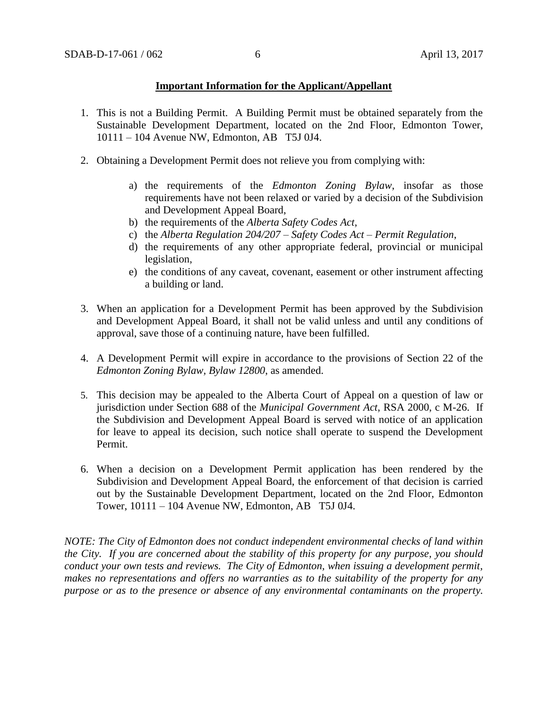### **Important Information for the Applicant/Appellant**

- 1. This is not a Building Permit. A Building Permit must be obtained separately from the Sustainable Development Department, located on the 2nd Floor, Edmonton Tower, 10111 – 104 Avenue NW, Edmonton, AB T5J 0J4.
- 2. Obtaining a Development Permit does not relieve you from complying with:
	- a) the requirements of the *Edmonton Zoning Bylaw*, insofar as those requirements have not been relaxed or varied by a decision of the Subdivision and Development Appeal Board,
	- b) the requirements of the *Alberta Safety Codes Act*,
	- c) the *Alberta Regulation 204/207 – Safety Codes Act – Permit Regulation*,
	- d) the requirements of any other appropriate federal, provincial or municipal legislation,
	- e) the conditions of any caveat, covenant, easement or other instrument affecting a building or land.
- 3. When an application for a Development Permit has been approved by the Subdivision and Development Appeal Board, it shall not be valid unless and until any conditions of approval, save those of a continuing nature, have been fulfilled.
- 4. A Development Permit will expire in accordance to the provisions of Section 22 of the *Edmonton Zoning Bylaw, Bylaw 12800*, as amended.
- 5. This decision may be appealed to the Alberta Court of Appeal on a question of law or jurisdiction under Section 688 of the *Municipal Government Act*, RSA 2000, c M-26. If the Subdivision and Development Appeal Board is served with notice of an application for leave to appeal its decision, such notice shall operate to suspend the Development Permit.
- 6. When a decision on a Development Permit application has been rendered by the Subdivision and Development Appeal Board, the enforcement of that decision is carried out by the Sustainable Development Department, located on the 2nd Floor, Edmonton Tower, 10111 – 104 Avenue NW, Edmonton, AB T5J 0J4.

*NOTE: The City of Edmonton does not conduct independent environmental checks of land within the City. If you are concerned about the stability of this property for any purpose, you should conduct your own tests and reviews. The City of Edmonton, when issuing a development permit, makes no representations and offers no warranties as to the suitability of the property for any purpose or as to the presence or absence of any environmental contaminants on the property.*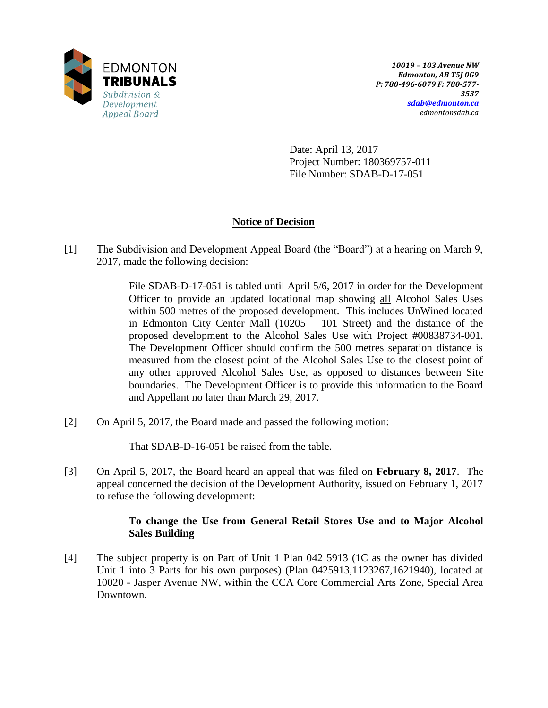

Date: April 13, 2017 Project Number: 180369757-011 File Number: SDAB-D-17-051

# **Notice of Decision**

[1] The Subdivision and Development Appeal Board (the "Board") at a hearing on March 9, 2017, made the following decision:

> File SDAB-D-17-051 is tabled until April 5/6, 2017 in order for the Development Officer to provide an updated locational map showing all Alcohol Sales Uses within 500 metres of the proposed development. This includes UnWined located in Edmonton City Center Mall (10205 – 101 Street) and the distance of the proposed development to the Alcohol Sales Use with Project #00838734-001. The Development Officer should confirm the 500 metres separation distance is measured from the closest point of the Alcohol Sales Use to the closest point of any other approved Alcohol Sales Use, as opposed to distances between Site boundaries. The Development Officer is to provide this information to the Board and Appellant no later than March 29, 2017.

[2] On April 5, 2017, the Board made and passed the following motion:

That SDAB-D-16-051 be raised from the table.

[3] On April 5, 2017, the Board heard an appeal that was filed on **February 8, 2017**. The appeal concerned the decision of the Development Authority, issued on February 1, 2017 to refuse the following development:

## **To change the Use from General Retail Stores Use and to Major Alcohol Sales Building**

[4] The subject property is on Part of Unit 1 Plan 042 5913 (1C as the owner has divided Unit 1 into 3 Parts for his own purposes) (Plan 0425913,1123267,1621940), located at 10020 - Jasper Avenue NW, within the CCA Core Commercial Arts Zone, Special Area Downtown.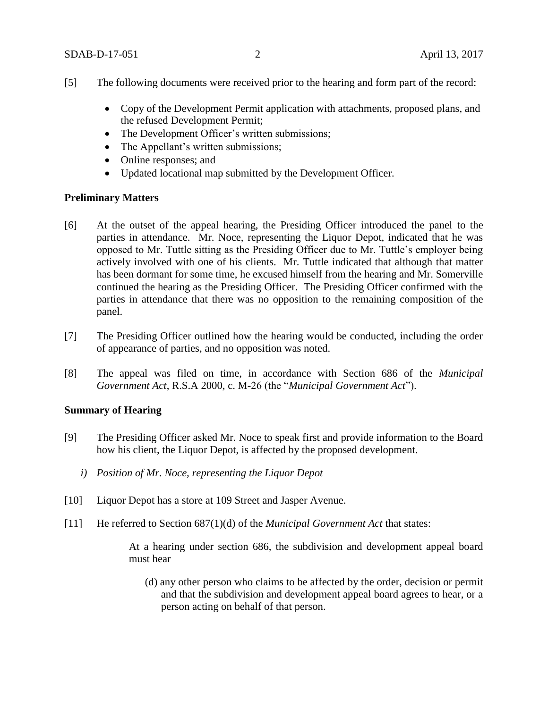- [5] The following documents were received prior to the hearing and form part of the record:
	- Copy of the Development Permit application with attachments, proposed plans, and the refused Development Permit;
	- The Development Officer's written submissions;
	- The Appellant's written submissions;
	- Online responses; and
	- Updated locational map submitted by the Development Officer.

### **Preliminary Matters**

- [6] At the outset of the appeal hearing, the Presiding Officer introduced the panel to the parties in attendance. Mr. Noce, representing the Liquor Depot, indicated that he was opposed to Mr. Tuttle sitting as the Presiding Officer due to Mr. Tuttle's employer being actively involved with one of his clients. Mr. Tuttle indicated that although that matter has been dormant for some time, he excused himself from the hearing and Mr. Somerville continued the hearing as the Presiding Officer. The Presiding Officer confirmed with the parties in attendance that there was no opposition to the remaining composition of the panel.
- [7] The Presiding Officer outlined how the hearing would be conducted, including the order of appearance of parties, and no opposition was noted.
- [8] The appeal was filed on time, in accordance with Section 686 of the *Municipal Government Act*, R.S.A 2000, c. M-26 (the "*Municipal Government Act*").

## **Summary of Hearing**

- [9] The Presiding Officer asked Mr. Noce to speak first and provide information to the Board how his client, the Liquor Depot, is affected by the proposed development.
	- *i) Position of Mr. Noce, representing the Liquor Depot*
- [10] Liquor Depot has a store at 109 Street and Jasper Avenue.
- [11] He referred to Section 687(1)(d) of the *Municipal Government Act* that states:

At a hearing under section 686, the subdivision and development appeal board must hear

(d) any other person who claims to be affected by the order, decision or permit and that the subdivision and development appeal board agrees to hear, or a person acting on behalf of that person.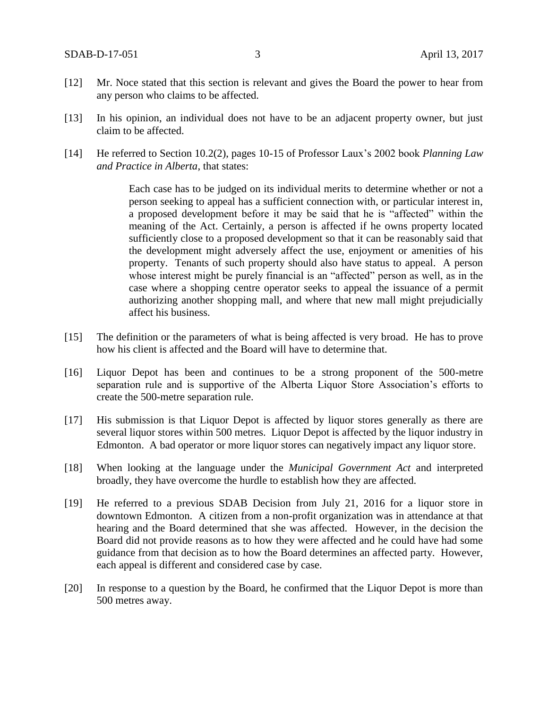- [12] Mr. Noce stated that this section is relevant and gives the Board the power to hear from any person who claims to be affected.
- [13] In his opinion, an individual does not have to be an adjacent property owner, but just claim to be affected.
- [14] He referred to Section 10.2(2), pages 10-15 of Professor Laux's 2002 book *Planning Law and Practice in Alberta*, that states:

Each case has to be judged on its individual merits to determine whether or not a person seeking to appeal has a sufficient connection with, or particular interest in, a proposed development before it may be said that he is "affected" within the meaning of the Act. Certainly, a person is affected if he owns property located sufficiently close to a proposed development so that it can be reasonably said that the development might adversely affect the use, enjoyment or amenities of his property. Tenants of such property should also have status to appeal. A person whose interest might be purely financial is an "affected" person as well, as in the case where a shopping centre operator seeks to appeal the issuance of a permit authorizing another shopping mall, and where that new mall might prejudicially affect his business.

- [15] The definition or the parameters of what is being affected is very broad. He has to prove how his client is affected and the Board will have to determine that.
- [16] Liquor Depot has been and continues to be a strong proponent of the 500-metre separation rule and is supportive of the Alberta Liquor Store Association's efforts to create the 500-metre separation rule.
- [17] His submission is that Liquor Depot is affected by liquor stores generally as there are several liquor stores within 500 metres. Liquor Depot is affected by the liquor industry in Edmonton. A bad operator or more liquor stores can negatively impact any liquor store.
- [18] When looking at the language under the *Municipal Government Act* and interpreted broadly, they have overcome the hurdle to establish how they are affected.
- [19] He referred to a previous SDAB Decision from July 21, 2016 for a liquor store in downtown Edmonton. A citizen from a non-profit organization was in attendance at that hearing and the Board determined that she was affected. However, in the decision the Board did not provide reasons as to how they were affected and he could have had some guidance from that decision as to how the Board determines an affected party. However, each appeal is different and considered case by case.
- [20] In response to a question by the Board, he confirmed that the Liquor Depot is more than 500 metres away.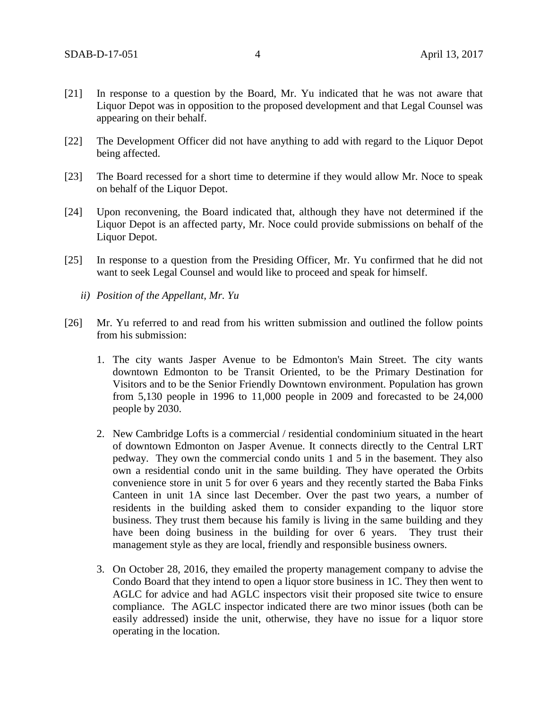- [21] In response to a question by the Board, Mr. Yu indicated that he was not aware that Liquor Depot was in opposition to the proposed development and that Legal Counsel was appearing on their behalf.
- [22] The Development Officer did not have anything to add with regard to the Liquor Depot being affected.
- [23] The Board recessed for a short time to determine if they would allow Mr. Noce to speak on behalf of the Liquor Depot.
- [24] Upon reconvening, the Board indicated that, although they have not determined if the Liquor Depot is an affected party, Mr. Noce could provide submissions on behalf of the Liquor Depot.
- [25] In response to a question from the Presiding Officer, Mr. Yu confirmed that he did not want to seek Legal Counsel and would like to proceed and speak for himself.
	- *ii) Position of the Appellant, Mr. Yu*
- [26] Mr. Yu referred to and read from his written submission and outlined the follow points from his submission:
	- 1. The city wants Jasper Avenue to be Edmonton's Main Street. The city wants downtown Edmonton to be Transit Oriented, to be the Primary Destination for Visitors and to be the Senior Friendly Downtown environment. Population has grown from 5,130 people in 1996 to 11,000 people in 2009 and forecasted to be 24,000 people by 2030.
	- 2. New Cambridge Lofts is a commercial / residential condominium situated in the heart of downtown Edmonton on Jasper Avenue. It connects directly to the Central LRT pedway. They own the commercial condo units 1 and 5 in the basement. They also own a residential condo unit in the same building. They have operated the Orbits convenience store in unit 5 for over 6 years and they recently started the Baba Finks Canteen in unit 1A since last December. Over the past two years, a number of residents in the building asked them to consider expanding to the liquor store business. They trust them because his family is living in the same building and they have been doing business in the building for over 6 years. They trust their management style as they are local, friendly and responsible business owners.
	- 3. On October 28, 2016, they emailed the property management company to advise the Condo Board that they intend to open a liquor store business in 1C. They then went to AGLC for advice and had AGLC inspectors visit their proposed site twice to ensure compliance. The AGLC inspector indicated there are two minor issues (both can be easily addressed) inside the unit, otherwise, they have no issue for a liquor store operating in the location.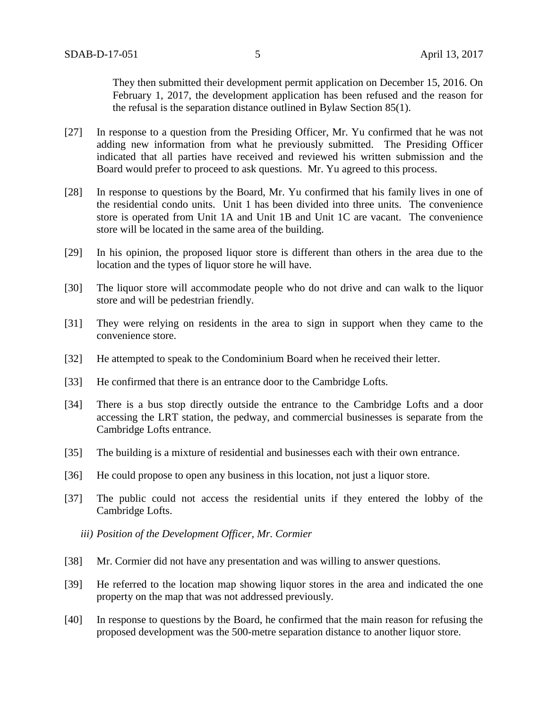They then submitted their development permit application on December 15, 2016. On February 1, 2017, the development application has been refused and the reason for the refusal is the separation distance outlined in Bylaw Section 85(1).

- [27] In response to a question from the Presiding Officer, Mr. Yu confirmed that he was not adding new information from what he previously submitted. The Presiding Officer indicated that all parties have received and reviewed his written submission and the Board would prefer to proceed to ask questions. Mr. Yu agreed to this process.
- [28] In response to questions by the Board, Mr. Yu confirmed that his family lives in one of the residential condo units. Unit 1 has been divided into three units. The convenience store is operated from Unit 1A and Unit 1B and Unit 1C are vacant. The convenience store will be located in the same area of the building.
- [29] In his opinion, the proposed liquor store is different than others in the area due to the location and the types of liquor store he will have.
- [30] The liquor store will accommodate people who do not drive and can walk to the liquor store and will be pedestrian friendly.
- [31] They were relying on residents in the area to sign in support when they came to the convenience store.
- [32] He attempted to speak to the Condominium Board when he received their letter.
- [33] He confirmed that there is an entrance door to the Cambridge Lofts.
- [34] There is a bus stop directly outside the entrance to the Cambridge Lofts and a door accessing the LRT station, the pedway, and commercial businesses is separate from the Cambridge Lofts entrance.
- [35] The building is a mixture of residential and businesses each with their own entrance.
- [36] He could propose to open any business in this location, not just a liquor store.
- [37] The public could not access the residential units if they entered the lobby of the Cambridge Lofts.

*iii) Position of the Development Officer, Mr. Cormier* 

- [38] Mr. Cormier did not have any presentation and was willing to answer questions.
- [39] He referred to the location map showing liquor stores in the area and indicated the one property on the map that was not addressed previously.
- [40] In response to questions by the Board, he confirmed that the main reason for refusing the proposed development was the 500-metre separation distance to another liquor store.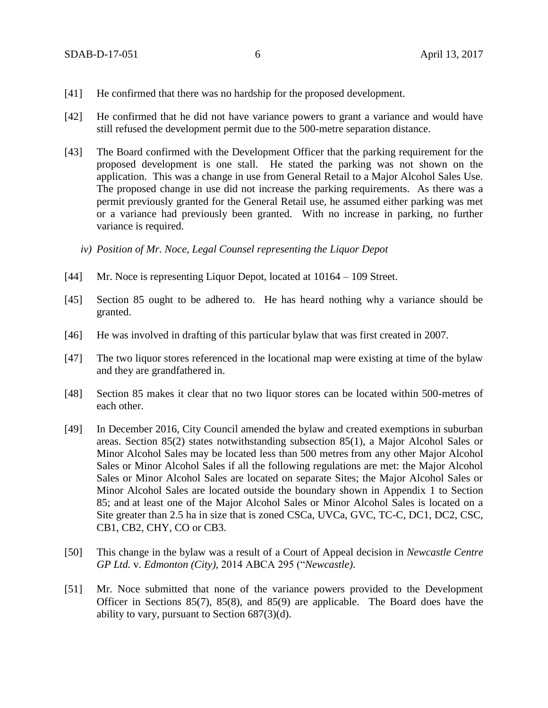- [41] He confirmed that there was no hardship for the proposed development.
- [42] He confirmed that he did not have variance powers to grant a variance and would have still refused the development permit due to the 500-metre separation distance.
- [43] The Board confirmed with the Development Officer that the parking requirement for the proposed development is one stall. He stated the parking was not shown on the application. This was a change in use from General Retail to a Major Alcohol Sales Use. The proposed change in use did not increase the parking requirements. As there was a permit previously granted for the General Retail use, he assumed either parking was met or a variance had previously been granted. With no increase in parking, no further variance is required.
	- *iv) Position of Mr. Noce, Legal Counsel representing the Liquor Depot*
- [44] Mr. Noce is representing Liquor Depot, located at  $10164 109$  Street.
- [45] Section 85 ought to be adhered to. He has heard nothing why a variance should be granted.
- [46] He was involved in drafting of this particular bylaw that was first created in 2007.
- [47] The two liquor stores referenced in the locational map were existing at time of the bylaw and they are grandfathered in.
- [48] Section 85 makes it clear that no two liquor stores can be located within 500-metres of each other.
- [49] In December 2016, City Council amended the bylaw and created exemptions in suburban areas. Section 85(2) states notwithstanding subsection 85(1), a Major Alcohol Sales or Minor Alcohol Sales may be located less than [500 me](javascript:void(0);)tres from any other Major Alcohol Sales or Minor Alcohol Sales if all the following regulations are met: the Major Alcohol Sales or Minor Alcohol Sales are located on separate Sites; the Major Alcohol Sales or Minor Alcohol Sales are located outside the boundary shown in Appendix 1 to Section 85; and at least one of the Major Alcohol Sales or Minor Alcohol Sales is located on a Site greater than 2.5 ha in size that is zoned CSCa, UVCa, GVC, TC-C, DC1, DC2, CSC, CB1, CB2, CHY, CO or CB3.
- [50] This change in the bylaw was a result of a Court of Appeal decision in *Newcastle Centre GP Ltd.* v. *Edmonton (City),* 2014 ABCA 295 ("*Newcastle)*.
- [51] Mr. Noce submitted that none of the variance powers provided to the Development Officer in Sections 85(7), 85(8), and 85(9) are applicable. The Board does have the ability to vary, pursuant to Section 687(3)(d).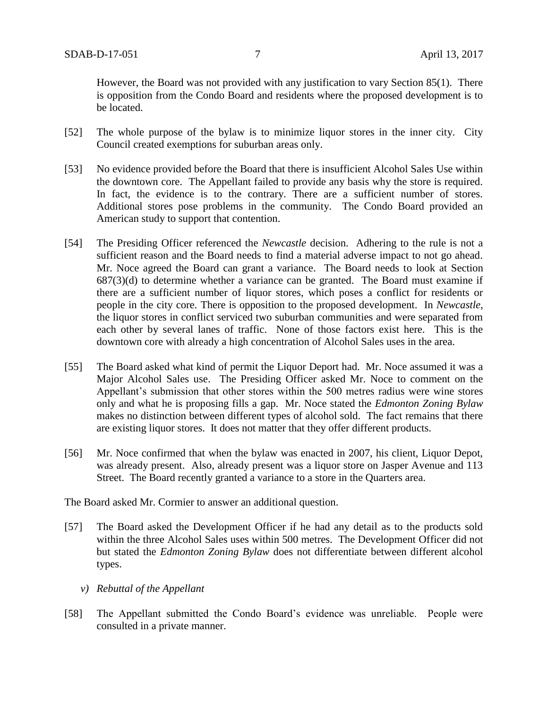However, the Board was not provided with any justification to vary Section 85(1). There is opposition from the Condo Board and residents where the proposed development is to be located.

- [52] The whole purpose of the bylaw is to minimize liquor stores in the inner city. City Council created exemptions for suburban areas only.
- [53] No evidence provided before the Board that there is insufficient Alcohol Sales Use within the downtown core. The Appellant failed to provide any basis why the store is required. In fact, the evidence is to the contrary. There are a sufficient number of stores. Additional stores pose problems in the community. The Condo Board provided an American study to support that contention.
- [54] The Presiding Officer referenced the *Newcastle* decision. Adhering to the rule is not a sufficient reason and the Board needs to find a material adverse impact to not go ahead. Mr. Noce agreed the Board can grant a variance. The Board needs to look at Section  $687(3)(d)$  to determine whether a variance can be granted. The Board must examine if there are a sufficient number of liquor stores, which poses a conflict for residents or people in the city core. There is opposition to the proposed development. In *Newcastle*, the liquor stores in conflict serviced two suburban communities and were separated from each other by several lanes of traffic. None of those factors exist here. This is the downtown core with already a high concentration of Alcohol Sales uses in the area.
- [55] The Board asked what kind of permit the Liquor Deport had. Mr. Noce assumed it was a Major Alcohol Sales use. The Presiding Officer asked Mr. Noce to comment on the Appellant's submission that other stores within the 500 metres radius were wine stores only and what he is proposing fills a gap. Mr. Noce stated the *Edmonton Zoning Bylaw* makes no distinction between different types of alcohol sold. The fact remains that there are existing liquor stores. It does not matter that they offer different products.
- [56] Mr. Noce confirmed that when the bylaw was enacted in 2007, his client, Liquor Depot, was already present. Also, already present was a liquor store on Jasper Avenue and 113 Street. The Board recently granted a variance to a store in the Quarters area.

The Board asked Mr. Cormier to answer an additional question.

- [57] The Board asked the Development Officer if he had any detail as to the products sold within the three Alcohol Sales uses within 500 metres. The Development Officer did not but stated the *Edmonton Zoning Bylaw* does not differentiate between different alcohol types.
	- *v) Rebuttal of the Appellant*
- [58] The Appellant submitted the Condo Board's evidence was unreliable. People were consulted in a private manner.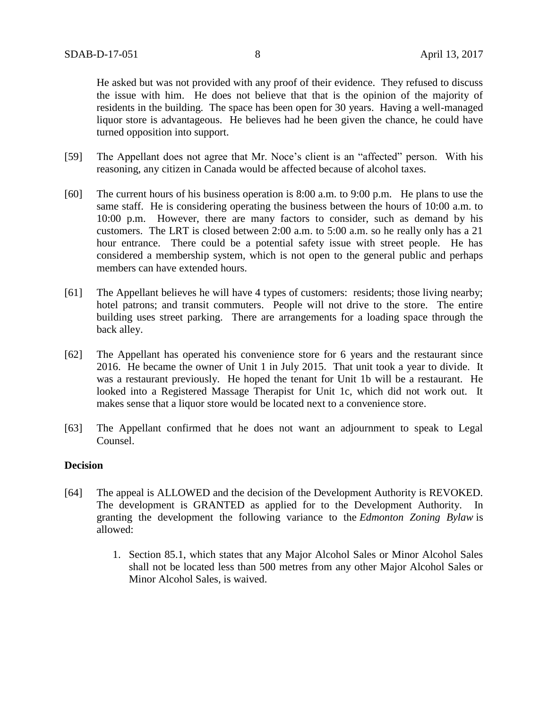He asked but was not provided with any proof of their evidence. They refused to discuss the issue with him. He does not believe that that is the opinion of the majority of residents in the building. The space has been open for 30 years. Having a well-managed liquor store is advantageous. He believes had he been given the chance, he could have turned opposition into support.

- [59] The Appellant does not agree that Mr. Noce's client is an "affected" person. With his reasoning, any citizen in Canada would be affected because of alcohol taxes.
- [60] The current hours of his business operation is 8:00 a.m. to 9:00 p.m. He plans to use the same staff. He is considering operating the business between the hours of 10:00 a.m. to 10:00 p.m. However, there are many factors to consider, such as demand by his customers. The LRT is closed between 2:00 a.m. to 5:00 a.m. so he really only has a 21 hour entrance. There could be a potential safety issue with street people. He has considered a membership system, which is not open to the general public and perhaps members can have extended hours.
- [61] The Appellant believes he will have 4 types of customers: residents; those living nearby; hotel patrons; and transit commuters. People will not drive to the store. The entire building uses street parking. There are arrangements for a loading space through the back alley.
- [62] The Appellant has operated his convenience store for 6 years and the restaurant since 2016. He became the owner of Unit 1 in July 2015. That unit took a year to divide. It was a restaurant previously. He hoped the tenant for Unit 1b will be a restaurant. He looked into a Registered Massage Therapist for Unit 1c, which did not work out. It makes sense that a liquor store would be located next to a convenience store.
- [63] The Appellant confirmed that he does not want an adjournment to speak to Legal Counsel.

### **Decision**

- [64] The appeal is ALLOWED and the decision of the Development Authority is REVOKED. The development is GRANTED as applied for to the Development Authority. In granting the development the following variance to the *Edmonton Zoning Bylaw* is allowed:
	- 1. Section 85.1, which states that any Major Alcohol Sales or Minor Alcohol Sales shall not be located less than 500 metres from any other Major Alcohol Sales or Minor Alcohol Sales, is waived.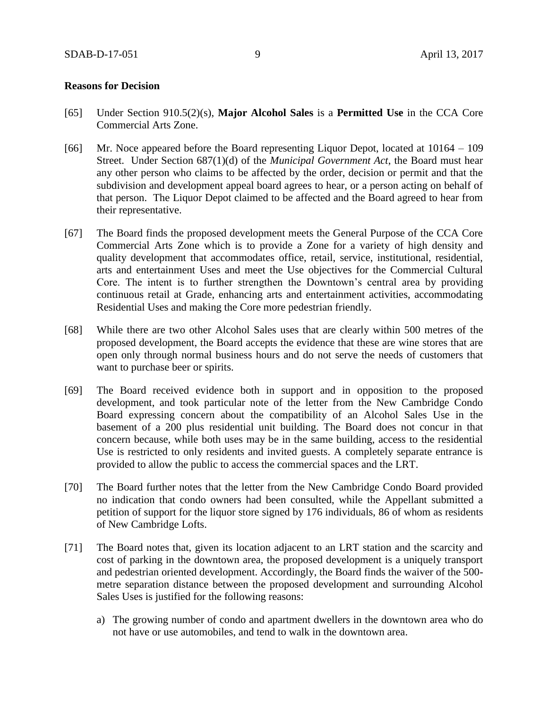### **Reasons for Decision**

- [65] Under Section 910.5(2)(s), **Major Alcohol Sales** is a **Permitted Use** in the CCA Core Commercial Arts Zone.
- [66] Mr. Noce appeared before the Board representing Liquor Depot, located at 10164 109 Street. Under Section 687(1)(d) of the *Municipal Government Act*, the Board must hear any other person who claims to be affected by the order, decision or permit and that the subdivision and development appeal board agrees to hear, or a person acting on behalf of that person. The Liquor Depot claimed to be affected and the Board agreed to hear from their representative.
- [67] The Board finds the proposed development meets the General Purpose of the CCA Core Commercial Arts Zone which is to provide a Zone for a variety of high density and quality development that accommodates office, retail, service, institutional, residential, arts and entertainment Uses and meet the Use objectives for the Commercial Cultural Core. The intent is to further strengthen the Downtown's central area by providing continuous retail at Grade, enhancing arts and entertainment activities, accommodating Residential Uses and making the Core more pedestrian friendly.
- [68] While there are two other Alcohol Sales uses that are clearly within 500 metres of the proposed development, the Board accepts the evidence that these are wine stores that are open only through normal business hours and do not serve the needs of customers that want to purchase beer or spirits.
- [69] The Board received evidence both in support and in opposition to the proposed development, and took particular note of the letter from the New Cambridge Condo Board expressing concern about the compatibility of an Alcohol Sales Use in the basement of a 200 plus residential unit building. The Board does not concur in that concern because, while both uses may be in the same building, access to the residential Use is restricted to only residents and invited guests. A completely separate entrance is provided to allow the public to access the commercial spaces and the LRT.
- [70] The Board further notes that the letter from the New Cambridge Condo Board provided no indication that condo owners had been consulted, while the Appellant submitted a petition of support for the liquor store signed by 176 individuals, 86 of whom as residents of New Cambridge Lofts.
- [71] The Board notes that, given its location adjacent to an LRT station and the scarcity and cost of parking in the downtown area, the proposed development is a uniquely transport and pedestrian oriented development. Accordingly, the Board finds the waiver of the 500 metre separation distance between the proposed development and surrounding Alcohol Sales Uses is justified for the following reasons:
	- a) The growing number of condo and apartment dwellers in the downtown area who do not have or use automobiles, and tend to walk in the downtown area.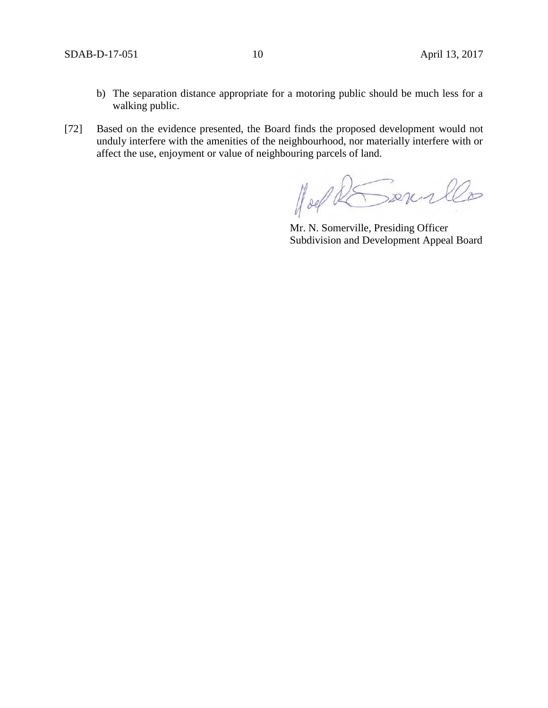- b) The separation distance appropriate for a motoring public should be much less for a walking public.
- [72] Based on the evidence presented, the Board finds the proposed development would not unduly interfere with the amenities of the neighbourhood, nor materially interfere with or affect the use, enjoyment or value of neighbouring parcels of land.

Hoel RSonrillo

Mr. N. Somerville, Presiding Officer Subdivision and Development Appeal Board